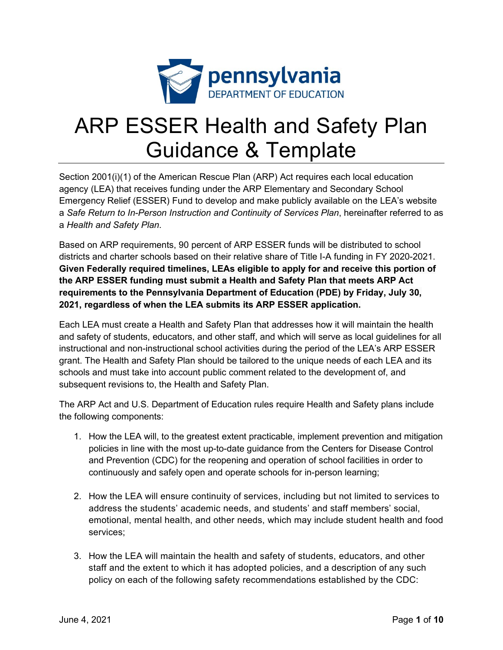

## ARP ESSER Health and Safety Plan Guidance & Template

Section 2001(i)(1) of the American Rescue Plan (ARP) Act requires each local education agency (LEA) that receives funding under the ARP Elementary and Secondary School Emergency Relief (ESSER) Fund to develop and make publicly available on the LEA's website a *Safe Return to In-Person Instruction and Continuity of Services Plan*, hereinafter referred to as a *Health and Safety Plan*.

Based on ARP requirements, 90 percent of ARP ESSER funds will be distributed to school districts and charter schools based on their relative share of Title I-A funding in FY 2020-2021. **Given Federally required timelines, LEAs eligible to apply for and receive this portion of the ARP ESSER funding must submit a Health and Safety Plan that meets ARP Act requirements to the Pennsylvania Department of Education (PDE) by Friday, July 30, 2021, regardless of when the LEA submits its ARP ESSER application.** 

Each LEA must create a Health and Safety Plan that addresses how it will maintain the health and safety of students, educators, and other staff, and which will serve as local guidelines for all instructional and non-instructional school activities during the period of the LEA's ARP ESSER grant. The Health and Safety Plan should be tailored to the unique needs of each LEA and its schools and must take into account public comment related to the development of, and subsequent revisions to, the Health and Safety Plan.

The ARP Act and U.S. Department of Education rules require Health and Safety plans include the following components:

- 1. How the LEA will, to the greatest extent practicable, implement prevention and mitigation policies in line with the most up-to-date guidance from the Centers for Disease Control and Prevention (CDC) for the reopening and operation of school facilities in order to continuously and safely open and operate schools for in-person learning;
- 2. How the LEA will ensure continuity of services, including but not limited to services to address the students' academic needs, and students' and staff members' social, emotional, mental health, and other needs, which may include student health and food services;
- 3. How the LEA will maintain the health and safety of students, educators, and other staff and the extent to which it has adopted policies, and a description of any such policy on each of the following safety recommendations established by the CDC: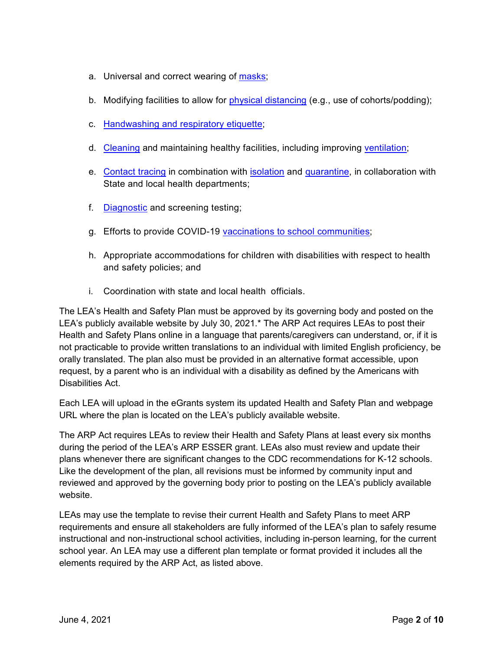- a. Universal and correct wearing of [masks;](https://www.cdc.gov/coronavirus/2019-ncov/prevent-getting-sick/cloth-face-cover-guidance.html?CDC_AA_refVal=https%3A%2F%2Fwww.cdc.gov%2Fcoronavirus%2F2019-ncov%2Fcommunity%2Fschools-childcare%2Fcloth-face-cover.html)
- b. Modifying facilities to allow for [physical distancing](https://www.cdc.gov/coronavirus/2019-ncov/prevent-getting-sick/social-distancing.html) (e.g., use of cohorts/podding);
- c. [Handwashing and respiratory etiquette;](https://www.cdc.gov/handwashing/when-how-handwashing.html)
- d. [Cleaning](https://www.cdc.gov/coronavirus/2019-ncov/community/clean-disinfect/index.html) and maintaining healthy facilities, including improving [ventilation;](https://www.cdc.gov/coronavirus/2019-ncov/community/schools-childcare/ventilation.html)
- e. [Contact tracing](https://www.cdc.gov/coronavirus/2019-ncov/php/contact-tracing/contact-tracing-resources.html?CDC_AA_refVal=https%3A%2F%2Fwww.cdc.gov%2Fcoronavirus%2F2019-ncov%2Fphp%2Fopen-america%2Fcontact-tracing-resources.html) in combination with **isolation** and [quarantine,](https://www.cdc.gov/coronavirus/2019-ncov/if-you-are-sick/quarantine.html) in collaboration with State and local health departments;
- f. [Diagnostic](https://www.cdc.gov/coronavirus/2019-ncov/lab/pooling-procedures.html) and screening testing;
- g. Efforts to provide COVID-19 [vaccinations to school communities;](https://www.cdc.gov/coronavirus/2019-ncov/vaccines/toolkits/schools-childcare.html)
- h. Appropriate accommodations for children with disabilities with respect to health and safety policies; and
- i. Coordination with state and local health officials.

The LEA's Health and Safety Plan must be approved by its governing body and posted on the LEA's publicly available website by July 30, 2021.\* The ARP Act requires LEAs to post their Health and Safety Plans online in a language that parents/caregivers can understand, or, if it is not practicable to provide written translations to an individual with limited English proficiency, be orally translated. The plan also must be provided in an alternative format accessible, upon request, by a parent who is an individual with a disability as defined by the Americans with Disabilities Act.

Each LEA will upload in the eGrants system its updated Health and Safety Plan and webpage URL where the plan is located on the LEA's publicly available website.

The ARP Act requires LEAs to review their Health and Safety Plans at least every six months during the period of the LEA's ARP ESSER grant. LEAs also must review and update their plans whenever there are significant changes to the CDC recommendations for K-12 schools. Like the development of the plan, all revisions must be informed by community input and reviewed and approved by the governing body prior to posting on the LEA's publicly available website.

LEAs may use the template to revise their current Health and Safety Plans to meet ARP requirements and ensure all stakeholders are fully informed of the LEA's plan to safely resume instructional and non-instructional school activities, including in-person learning, for the current school year. An LEA may use a different plan template or format provided it includes all the elements required by the ARP Act, as listed above.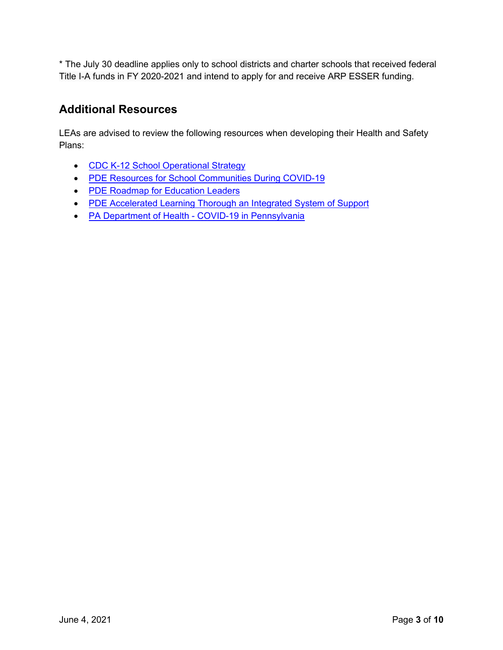\* The July 30 deadline applies only to school districts and charter schools that received federal Title I-A funds in FY 2020-2021 and intend to apply for and receive ARP ESSER funding.

## **Additional Resources**

LEAs are advised to review the following resources when developing their Health and Safety Plans:

- [CDC K-12 School Operational Strategy](https://www.cdc.gov/coronavirus/2019-ncov/community/schools-childcare/operation-strategy.html?CDC_AA_refVal=https%3A%2F%2Fwww.cdc.gov%2Fcoronavirus%2F2019-ncov%2Fcommunity%2Fschools-childcare%2Fschools.html)
- [PDE Resources for School Communities During COVID-19](https://www.education.pa.gov/Schools/safeschools/emergencyplanning/COVID-19/Pages/default.aspx)
- [PDE Roadmap for Education Leaders](https://www.education.pa.gov/Schools/safeschools/emergencyplanning/COVID-19/SchoolReopeningGuidance/ReopeningPreKto12/CreatingEquitableSchoolSystems/Pages/default.aspx)
- [PDE Accelerated Learning Thorough an Integrated System of Support](https://www.education.pa.gov/Schools/safeschools/emergencyplanning/COVID-19/SchoolReopeningGuidance/ReopeningPreKto12/CreatingEquitableSchoolSystems/AcceleratedLearning/Pages/default.aspx)
- PA Department of Health [COVID-19 in Pennsylvania](https://www.health.pa.gov/topics/disease/coronavirus/Pages/Coronavirus.aspx)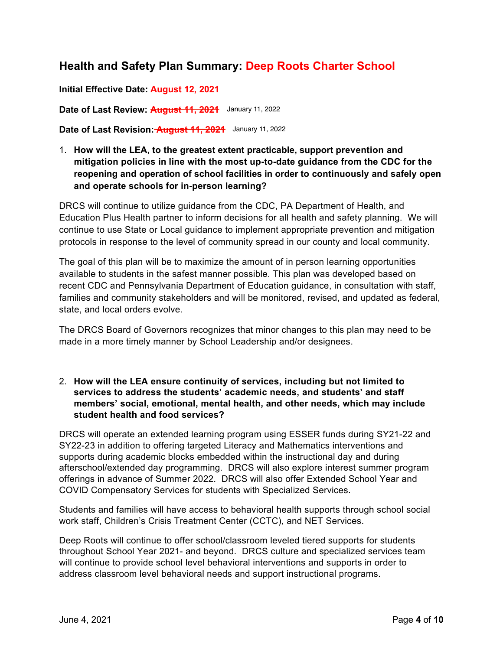## **Health and Safety Plan Summary: Deep Roots Charter School**

**Initial Effective Date: August 12, 2021**

**Date of Last Review: August 11, 2021** January 11, 2022

**Date of Last Revision: August 11, 2021** January 11, 2022

1. **How will the LEA, to the greatest extent practicable, support prevention and mitigation policies in line with the most up-to-date guidance from the CDC for the reopening and operation of school facilities in order to continuously and safely open and operate schools for in-person learning?** 

DRCS will continue to utilize guidance from the CDC, PA Department of Health, and Education Plus Health partner to inform decisions for all health and safety planning. We will continue to use State or Local guidance to implement appropriate prevention and mitigation protocols in response to the level of community spread in our county and local community.

The goal of this plan will be to maximize the amount of in person learning opportunities available to students in the safest manner possible. This plan was developed based on recent CDC and Pennsylvania Department of Education guidance, in consultation with staff, families and community stakeholders and will be monitored, revised, and updated as federal, state, and local orders evolve.

The DRCS Board of Governors recognizes that minor changes to this plan may need to be made in a more timely manner by School Leadership and/or designees.

2. **How will the LEA ensure continuity of services, including but not limited to services to address the students' academic needs, and students' and staff members' social, emotional, mental health, and other needs, which may include student health and food services?**

DRCS will operate an extended learning program using ESSER funds during SY21-22 and SY22-23 in addition to offering targeted Literacy and Mathematics interventions and supports during academic blocks embedded within the instructional day and during afterschool/extended day programming. DRCS will also explore interest summer program offerings in advance of Summer 2022. DRCS will also offer Extended School Year and COVID Compensatory Services for students with Specialized Services.

Students and families will have access to behavioral health supports through school social work staff, Children's Crisis Treatment Center (CCTC), and NET Services.

Deep Roots will continue to offer school/classroom leveled tiered supports for students throughout School Year 2021- and beyond. DRCS culture and specialized services team will continue to provide school level behavioral interventions and supports in order to address classroom level behavioral needs and support instructional programs.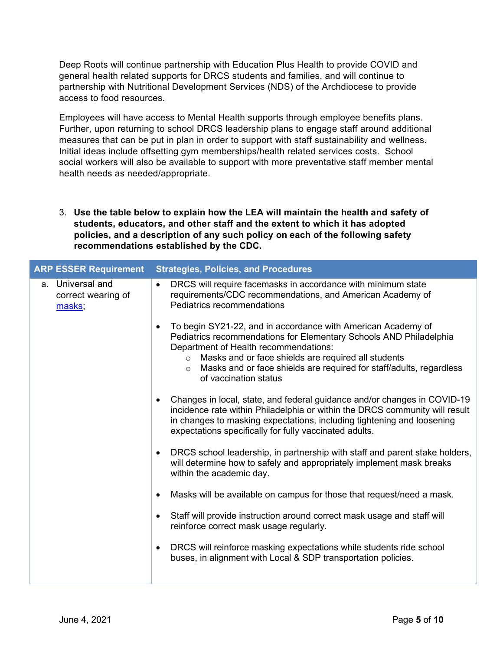Deep Roots will continue partnership with Education Plus Health to provide COVID and general health related supports for DRCS students and families, and will continue to partnership with Nutritional Development Services (NDS) of the Archdiocese to provide access to food resources.

Employees will have access to Mental Health supports through employee benefits plans. Further, upon returning to school DRCS leadership plans to engage staff around additional measures that can be put in plan in order to support with staff sustainability and wellness. Initial ideas include offsetting gym memberships/health related services costs. School social workers will also be available to support with more preventative staff member mental health needs as needed/appropriate.

3. **Use the table below to explain how the LEA will maintain the health and safety of students, educators, and other staff and the extent to which it has adopted policies, and a description of any such policy on each of the following safety recommendations established by the CDC.**

| <b>ARP ESSER Requirement</b>                     | <b>Strategies, Policies, and Procedures</b>                                                                                                                                                                                                                                                                                                                           |
|--------------------------------------------------|-----------------------------------------------------------------------------------------------------------------------------------------------------------------------------------------------------------------------------------------------------------------------------------------------------------------------------------------------------------------------|
| a. Universal and<br>correct wearing of<br>masks; | DRCS will require facemasks in accordance with minimum state<br>$\bullet$<br>requirements/CDC recommendations, and American Academy of<br>Pediatrics recommendations                                                                                                                                                                                                  |
|                                                  | To begin SY21-22, and in accordance with American Academy of<br>$\bullet$<br>Pediatrics recommendations for Elementary Schools AND Philadelphia<br>Department of Health recommendations:<br>Masks and or face shields are required all students<br>$\circ$<br>Masks and or face shields are required for staff/adults, regardless<br>$\circ$<br>of vaccination status |
|                                                  | Changes in local, state, and federal guidance and/or changes in COVID-19<br>$\bullet$<br>incidence rate within Philadelphia or within the DRCS community will result<br>in changes to masking expectations, including tightening and loosening<br>expectations specifically for fully vaccinated adults.                                                              |
|                                                  | DRCS school leadership, in partnership with staff and parent stake holders,<br>$\bullet$<br>will determine how to safely and appropriately implement mask breaks<br>within the academic day.                                                                                                                                                                          |
|                                                  | Masks will be available on campus for those that request/need a mask.<br>$\bullet$                                                                                                                                                                                                                                                                                    |
|                                                  | Staff will provide instruction around correct mask usage and staff will<br>$\bullet$<br>reinforce correct mask usage regularly.                                                                                                                                                                                                                                       |
|                                                  | DRCS will reinforce masking expectations while students ride school<br>$\bullet$<br>buses, in alignment with Local & SDP transportation policies.                                                                                                                                                                                                                     |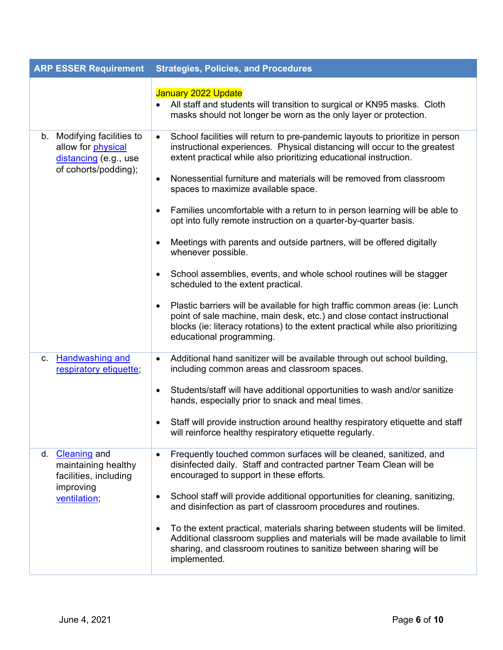|    | <b>ARP ESSER Requirement</b>                                                                                        | <b>Strategies, Policies, and Procedures</b>                                                                                                                                                                                                                                |
|----|---------------------------------------------------------------------------------------------------------------------|----------------------------------------------------------------------------------------------------------------------------------------------------------------------------------------------------------------------------------------------------------------------------|
|    |                                                                                                                     | January 2022 Update<br>All staff and students will transition to surgical or KN95 masks. Cloth<br>masks should not longer be worn as the only layer or protection.                                                                                                         |
|    | b. Modifying facilities to<br>allow for physical<br>distancing (e.g., use<br>of cohorts/podding);<br>$\bullet$<br>٠ | School facilities will return to pre-pandemic layouts to prioritize in person<br>$\bullet$<br>instructional experiences. Physical distancing will occur to the greatest<br>extent practical while also prioritizing educational instruction.                               |
|    |                                                                                                                     | Nonessential furniture and materials will be removed from classroom<br>spaces to maximize available space.                                                                                                                                                                 |
|    |                                                                                                                     | Families uncomfortable with a return to in person learning will be able to<br>٠<br>opt into fully remote instruction on a quarter-by-quarter basis.                                                                                                                        |
|    |                                                                                                                     | Meetings with parents and outside partners, will be offered digitally<br>whenever possible.                                                                                                                                                                                |
|    |                                                                                                                     | School assemblies, events, and whole school routines will be stagger<br>$\bullet$<br>scheduled to the extent practical.                                                                                                                                                    |
|    |                                                                                                                     | Plastic barriers will be available for high traffic common areas (ie: Lunch<br>٠<br>point of sale machine, main desk, etc.) and close contact instructional<br>blocks (ie: literacy rotations) to the extent practical while also prioritizing<br>educational programming. |
|    | c. Handwashing and<br>respiratory etiquette;                                                                        | Additional hand sanitizer will be available through out school building,<br>$\bullet$<br>including common areas and classroom spaces.                                                                                                                                      |
|    |                                                                                                                     | Students/staff will have additional opportunities to wash and/or sanitize<br>٠<br>hands, especially prior to snack and meal times.                                                                                                                                         |
|    |                                                                                                                     | Staff will provide instruction around healthy respiratory etiquette and staff<br>will reinforce healthy respiratory etiquette regularly.                                                                                                                                   |
| d. | <b>Cleaning</b> and<br>maintaining healthy<br>facilities, including<br>improving<br>٠<br>ventilation;               | Frequently touched common surfaces will be cleaned, sanitized, and<br>disinfected daily. Staff and contracted partner Team Clean will be<br>encouraged to support in these efforts.                                                                                        |
|    |                                                                                                                     | School staff will provide additional opportunities for cleaning, sanitizing,<br>and disinfection as part of classroom procedures and routines.                                                                                                                             |
|    |                                                                                                                     | To the extent practical, materials sharing between students will be limited.<br>٠<br>Additional classroom supplies and materials will be made available to limit<br>sharing, and classroom routines to sanitize between sharing will be<br>implemented.                    |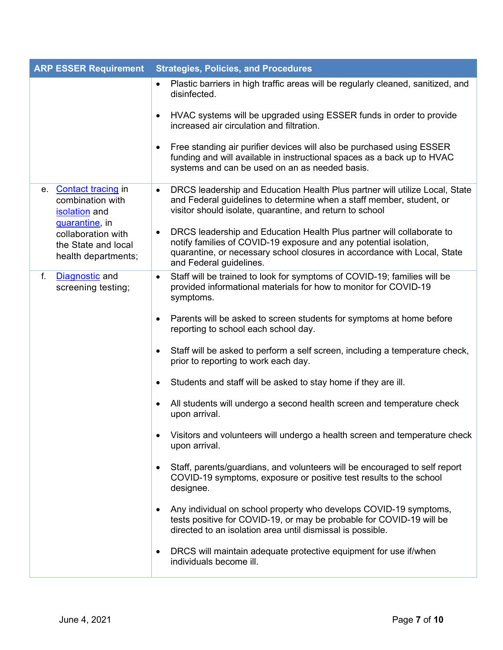| <b>ARP ESSER Requirement</b>                                                 | <b>Strategies, Policies, and Procedures</b>                                                                                                                                                                                                            |
|------------------------------------------------------------------------------|--------------------------------------------------------------------------------------------------------------------------------------------------------------------------------------------------------------------------------------------------------|
|                                                                              | Plastic barriers in high traffic areas will be regularly cleaned, sanitized, and<br>$\bullet$<br>disinfected.                                                                                                                                          |
|                                                                              | HVAC systems will be upgraded using ESSER funds in order to provide<br>٠<br>increased air circulation and filtration.                                                                                                                                  |
|                                                                              | Free standing air purifier devices will also be purchased using ESSER<br>٠<br>funding and will available in instructional spaces as a back up to HVAC<br>systems and can be used on an as needed basis.                                                |
| e. Contact tracing in<br>combination with<br>isolation and<br>quarantine, in | DRCS leadership and Education Health Plus partner will utilize Local, State<br>٠<br>and Federal guidelines to determine when a staff member, student, or<br>visitor should isolate, quarantine, and return to school                                   |
| collaboration with<br>the State and local<br>health departments;             | DRCS leadership and Education Health Plus partner will collaborate to<br>٠<br>notify families of COVID-19 exposure and any potential isolation,<br>quarantine, or necessary school closures in accordance with Local, State<br>and Federal guidelines. |
| Diagnostic and<br>f.<br>screening testing;                                   | Staff will be trained to look for symptoms of COVID-19; families will be<br>$\bullet$<br>provided informational materials for how to monitor for COVID-19<br>symptoms.                                                                                 |
|                                                                              | Parents will be asked to screen students for symptoms at home before<br>٠<br>reporting to school each school day.                                                                                                                                      |
|                                                                              | Staff will be asked to perform a self screen, including a temperature check,<br>٠<br>prior to reporting to work each day.                                                                                                                              |
|                                                                              | Students and staff will be asked to stay home if they are ill.<br>٠                                                                                                                                                                                    |
|                                                                              | All students will undergo a second health screen and temperature check<br>٠<br>upon arrival.                                                                                                                                                           |
|                                                                              | Visitors and volunteers will undergo a health screen and temperature check<br>upon arrival.                                                                                                                                                            |
|                                                                              | Staff, parents/guardians, and volunteers will be encouraged to self report<br>$\bullet$<br>COVID-19 symptoms, exposure or positive test results to the school<br>designee.                                                                             |
|                                                                              | Any individual on school property who develops COVID-19 symptoms,<br>٠<br>tests positive for COVID-19, or may be probable for COVID-19 will be<br>directed to an isolation area until dismissal is possible.                                           |
|                                                                              | DRCS will maintain adequate protective equipment for use if/when<br>٠<br>individuals become ill.                                                                                                                                                       |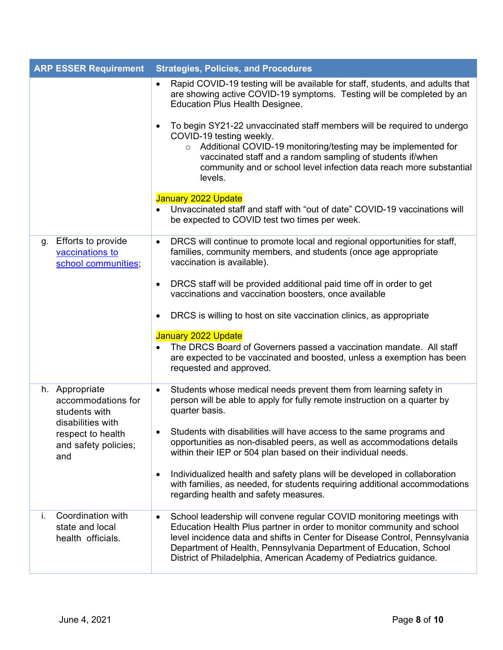| <b>ARP ESSER Requirement</b>                                              | <b>Strategies, Policies, and Procedures</b>                                                                                                                                                                                                                                                                                                                                             |
|---------------------------------------------------------------------------|-----------------------------------------------------------------------------------------------------------------------------------------------------------------------------------------------------------------------------------------------------------------------------------------------------------------------------------------------------------------------------------------|
|                                                                           | Rapid COVID-19 testing will be available for staff, students, and adults that<br>$\bullet$<br>are showing active COVID-19 symptoms. Testing will be completed by an<br><b>Education Plus Health Designee.</b>                                                                                                                                                                           |
|                                                                           | To begin SY21-22 unvaccinated staff members will be required to undergo<br>$\bullet$<br>COVID-19 testing weekly.<br>Additional COVID-19 monitoring/testing may be implemented for<br>$\circ$<br>vaccinated staff and a random sampling of students if/when<br>community and or school level infection data reach more substantial<br>levels.                                            |
|                                                                           | January 2022 Update<br>Unvaccinated staff and staff with "out of date" COVID-19 vaccinations will<br>be expected to COVID test two times per week.                                                                                                                                                                                                                                      |
| <b>Efforts to provide</b><br>g.<br>vaccinations to<br>school communities; | DRCS will continue to promote local and regional opportunities for staff,<br>$\bullet$<br>families, community members, and students (once age appropriate<br>vaccination is available).                                                                                                                                                                                                 |
|                                                                           | DRCS staff will be provided additional paid time off in order to get<br>$\bullet$<br>vaccinations and vaccination boosters, once available                                                                                                                                                                                                                                              |
|                                                                           | DRCS is willing to host on site vaccination clinics, as appropriate<br>٠                                                                                                                                                                                                                                                                                                                |
|                                                                           | January 2022 Update<br>The DRCS Board of Governers passed a vaccination mandate. All staff<br>are expected to be vaccinated and boosted, unless a exemption has been<br>requested and approved.                                                                                                                                                                                         |
| h. Appropriate<br>accommodations for<br>students with                     | Students whose medical needs prevent them from learning safety in<br>$\bullet$<br>person will be able to apply for fully remote instruction on a quarter by<br>quarter basis.                                                                                                                                                                                                           |
| disabilities with<br>respect to health<br>and safety policies;<br>and     | Students with disabilities will have access to the same programs and<br>opportunities as non-disabled peers, as well as accommodations details<br>within their IEP or 504 plan based on their individual needs.                                                                                                                                                                         |
|                                                                           | Individualized health and safety plans will be developed in collaboration<br>$\bullet$<br>with families, as needed, for students requiring additional accommodations<br>regarding health and safety measures.                                                                                                                                                                           |
| Coordination with<br>i.<br>state and local<br>health officials.           | School leadership will convene regular COVID monitoring meetings with<br>$\bullet$<br>Education Health Plus partner in order to monitor community and school<br>level incidence data and shifts in Center for Disease Control, Pennsylvania<br>Department of Health, Pennsylvania Department of Education, School<br>District of Philadelphia, American Academy of Pediatrics guidance. |